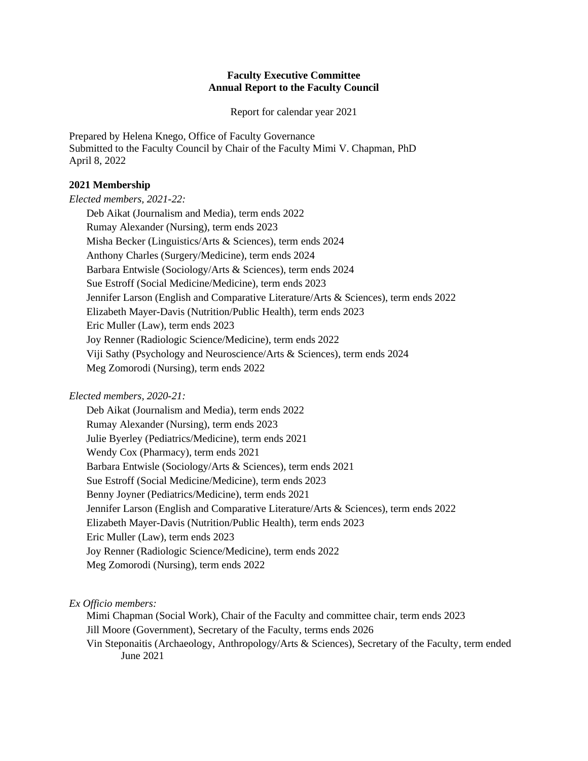### **Faculty Executive Committee Annual Report to the Faculty Council**

Report for calendar year 2021

Prepared by Helena Knego, Office of Faculty Governance Submitted to the Faculty Council by Chair of the Faculty Mimi V. Chapman, PhD April 8, 2022

### **2021 Membership**

*Elected members, 2021-22:* 

Deb Aikat (Journalism and Media), term ends 2022 Rumay Alexander (Nursing), term ends 2023 Misha Becker (Linguistics/Arts & Sciences), term ends 2024 Anthony Charles (Surgery/Medicine), term ends 2024 Barbara Entwisle (Sociology/Arts & Sciences), term ends 2024 Sue Estroff (Social Medicine/Medicine), term ends 2023 Jennifer Larson (English and Comparative Literature/Arts & Sciences), term ends 2022 Elizabeth Mayer-Davis (Nutrition/Public Health), term ends 2023 Eric Muller (Law), term ends 2023 Joy Renner (Radiologic Science/Medicine), term ends 2022 Viji Sathy (Psychology and Neuroscience/Arts & Sciences), term ends 2024 Meg Zomorodi (Nursing), term ends 2022

# *Elected members, 2020-21:*

Deb Aikat (Journalism and Media), term ends 2022 Rumay Alexander (Nursing), term ends 2023 Julie Byerley (Pediatrics/Medicine), term ends 2021 Wendy Cox (Pharmacy), term ends 2021 Barbara Entwisle (Sociology/Arts & Sciences), term ends 2021 Sue Estroff (Social Medicine/Medicine), term ends 2023 Benny Joyner (Pediatrics/Medicine), term ends 2021 Jennifer Larson (English and Comparative Literature/Arts & Sciences), term ends 2022 Elizabeth Mayer-Davis (Nutrition/Public Health), term ends 2023 Eric Muller (Law), term ends 2023 Joy Renner (Radiologic Science/Medicine), term ends 2022 Meg Zomorodi (Nursing), term ends 2022

*Ex Officio members:* 

Mimi Chapman (Social Work), Chair of the Faculty and committee chair, term ends 2023 Jill Moore (Government), Secretary of the Faculty, terms ends 2026 Vin Steponaitis (Archaeology, Anthropology/Arts & Sciences), Secretary of the Faculty, term ended June 2021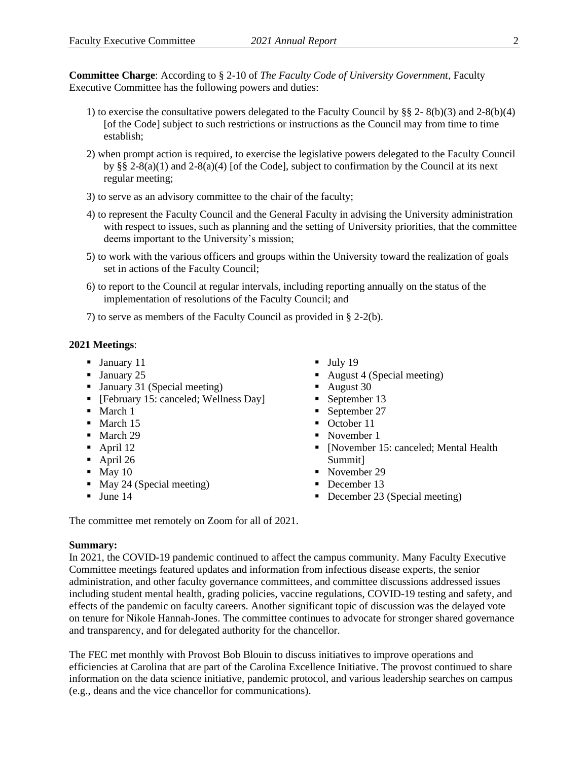**Committee Charge**: According to § 2-10 of *The Faculty Code of University Government*, Faculty Executive Committee has the following powers and duties:

- 1) to exercise the consultative powers delegated to the Faculty Council by  $\S$  2-8(b)(3) and 2-8(b)(4) [of the Code] subject to such restrictions or instructions as the Council may from time to time establish;
- 2) when prompt action is required, to exercise the legislative powers delegated to the Faculty Council by §§ 2-8(a)(1) and 2-8(a)(4) [of the Code], subject to confirmation by the Council at its next regular meeting;
- 3) to serve as an advisory committee to the chair of the faculty;
- 4) to represent the Faculty Council and the General Faculty in advising the University administration with respect to issues, such as planning and the setting of University priorities, that the committee deems important to the University's mission;
- 5) to work with the various officers and groups within the University toward the realization of goals set in actions of the Faculty Council;
- 6) to report to the Council at regular intervals, including reporting annually on the status of the implementation of resolutions of the Faculty Council; and
- 7) to serve as members of the Faculty Council as provided in § 2-2(b).

#### **2021 Meetings**:

- January 11
- **•** January 25
- January 31 (Special meeting)
- [February 15: canceled; Wellness Day]
- March 1
- March 15
- March 29
- $\blacksquare$  April 12
- $\blacksquare$  April 26
- $\blacksquare$  May 10
- May 24 (Special meeting)
- $\blacksquare$  June 14
- $\blacksquare$  July 19
- August 4 (Special meeting)
- August 30
- September 13
- September 27
- October 11
- November 1
- [November 15: canceled; Mental Health Summit]
- November 29
- December 13
- December 23 (Special meeting)

The committee met remotely on Zoom for all of 2021.

#### **Summary:**

In 2021, the COVID-19 pandemic continued to affect the campus community. Many Faculty Executive Committee meetings featured updates and information from infectious disease experts, the senior administration, and other faculty governance committees, and committee discussions addressed issues including student mental health, grading policies, vaccine regulations, COVID-19 testing and safety, and effects of the pandemic on faculty careers. Another significant topic of discussion was the delayed vote on tenure for Nikole Hannah-Jones. The committee continues to advocate for stronger shared governance and transparency, and for delegated authority for the chancellor.

The FEC met monthly with Provost Bob Blouin to discuss initiatives to improve operations and efficiencies at Carolina that are part of the Carolina Excellence Initiative. The provost continued to share information on the data science initiative, pandemic protocol, and various leadership searches on campus (e.g., deans and the vice chancellor for communications).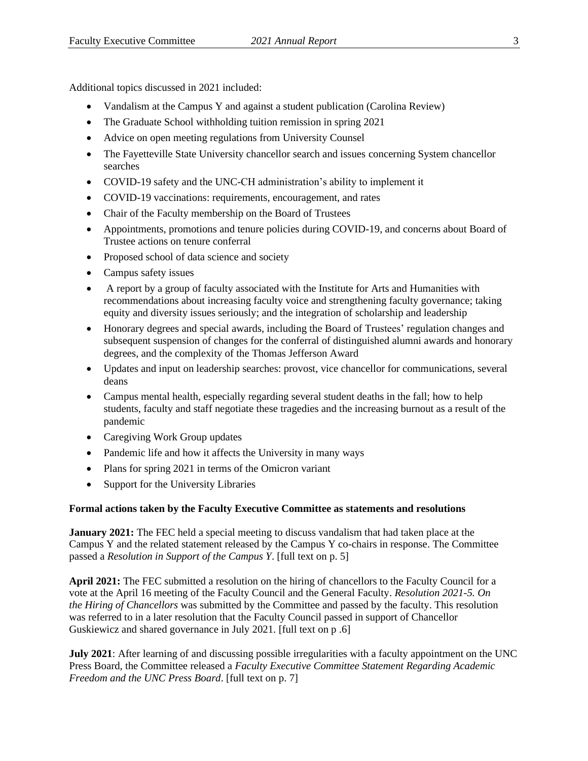Additional topics discussed in 2021 included:

- Vandalism at the Campus Y and against a student publication (Carolina Review)
- The Graduate School withholding tuition remission in spring 2021
- Advice on open meeting regulations from University Counsel
- The Fayetteville State University chancellor search and issues concerning System chancellor searches
- COVID-19 safety and the UNC-CH administration's ability to implement it
- COVID-19 vaccinations: requirements, encouragement, and rates
- Chair of the Faculty membership on the Board of Trustees
- Appointments, promotions and tenure policies during COVID-19, and concerns about Board of Trustee actions on tenure conferral
- Proposed school of data science and society
- Campus safety issues
- A report by a group of faculty associated with the Institute for Arts and Humanities with recommendations about increasing faculty voice and strengthening faculty governance; taking equity and diversity issues seriously; and the integration of scholarship and leadership
- Honorary degrees and special awards, including the Board of Trustees' regulation changes and subsequent suspension of changes for the conferral of distinguished alumni awards and honorary degrees, and the complexity of the Thomas Jefferson Award
- Updates and input on leadership searches: provost, vice chancellor for communications, several deans
- Campus mental health, especially regarding several student deaths in the fall; how to help students, faculty and staff negotiate these tragedies and the increasing burnout as a result of the pandemic
- Caregiving Work Group updates
- Pandemic life and how it affects the University in many ways
- Plans for spring 2021 in terms of the Omicron variant
- Support for the University Libraries

### **Formal actions taken by the Faculty Executive Committee as statements and resolutions**

**January 2021:** The FEC held a special meeting to discuss vandalism that had taken place at the Campus Y and the related statement released by the Campus Y co-chairs in response. The Committee passed a *Resolution in Support of the Campus Y*. [full text on p. 5]

**April 2021:** The FEC submitted a resolution on the hiring of chancellors to the Faculty Council for a vote at the April 16 meeting of the Faculty Council and the General Faculty. *Resolution 2021-5. On the Hiring of Chancellors* was submitted by the Committee and passed by the faculty. This resolution was referred to in a later resolution that the Faculty Council passed in support of Chancellor Guskiewicz and shared governance in July 2021. [full text on p .6]

**July 2021**: After learning of and discussing possible irregularities with a faculty appointment on the UNC Press Board, the Committee released a *Faculty Executive Committee Statement Regarding Academic Freedom and the UNC Press Board*. [full text on p. 7]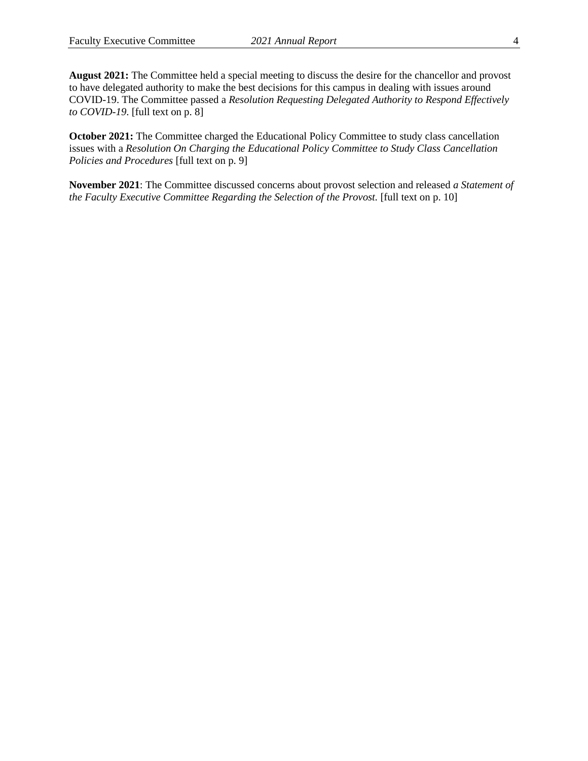**August 2021:** The Committee held a special meeting to discuss the desire for the chancellor and provost to have delegated authority to make the best decisions for this campus in dealing with issues around COVID-19. The Committee passed a *Resolution Requesting Delegated Authority to Respond Effectively to COVID-19*. [full text on p. 8]

**October 2021:** The Committee charged the Educational Policy Committee to study class cancellation issues with a *Resolution On Charging the Educational Policy Committee to Study Class Cancellation Policies and Procedures* [full text on p. 9]

**November 2021**: The Committee discussed concerns about provost selection and released *a Statement of the Faculty Executive Committee Regarding the Selection of the Provost.* [full text on p. 10]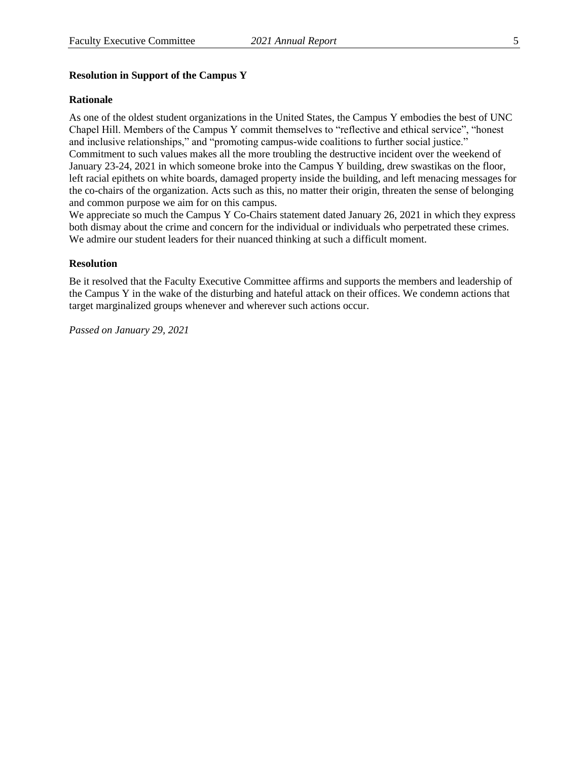### **Resolution in Support of the Campus Y**

### **Rationale**

As one of the oldest student organizations in the United States, the Campus Y embodies the best of UNC Chapel Hill. Members of the Campus Y commit themselves to "reflective and ethical service", "honest and inclusive relationships," and "promoting campus-wide coalitions to further social justice." Commitment to such values makes all the more troubling the destructive incident over the weekend of January 23-24, 2021 in which someone broke into the Campus Y building, drew swastikas on the floor, left racial epithets on white boards, damaged property inside the building, and left menacing messages for the co-chairs of the organization. Acts such as this, no matter their origin, threaten the sense of belonging and common purpose we aim for on this campus.

We appreciate so much the Campus Y Co-Chairs statement dated January 26, 2021 in which they express both dismay about the crime and concern for the individual or individuals who perpetrated these crimes. We admire our student leaders for their nuanced thinking at such a difficult moment.

#### **Resolution**

Be it resolved that the Faculty Executive Committee affirms and supports the members and leadership of the Campus Y in the wake of the disturbing and hateful attack on their offices. We condemn actions that target marginalized groups whenever and wherever such actions occur.

*Passed on January 29, 2021*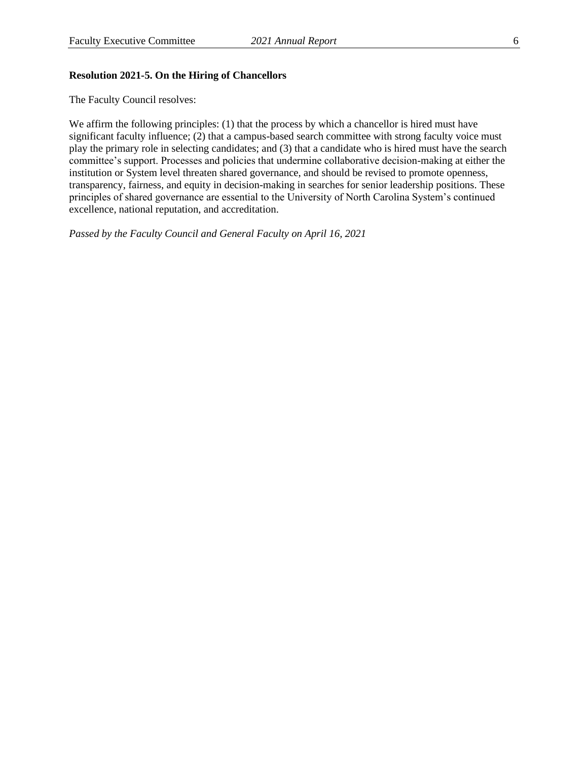### **Resolution 2021-5. On the Hiring of Chancellors**

The Faculty Council resolves:

We affirm the following principles: (1) that the process by which a chancellor is hired must have significant faculty influence; (2) that a campus-based search committee with strong faculty voice must play the primary role in selecting candidates; and (3) that a candidate who is hired must have the search committee's support. Processes and policies that undermine collaborative decision-making at either the institution or System level threaten shared governance, and should be revised to promote openness, transparency, fairness, and equity in decision-making in searches for senior leadership positions. These principles of shared governance are essential to the University of North Carolina System's continued excellence, national reputation, and accreditation.

*Passed by the Faculty Council and General Faculty on April 16, 2021*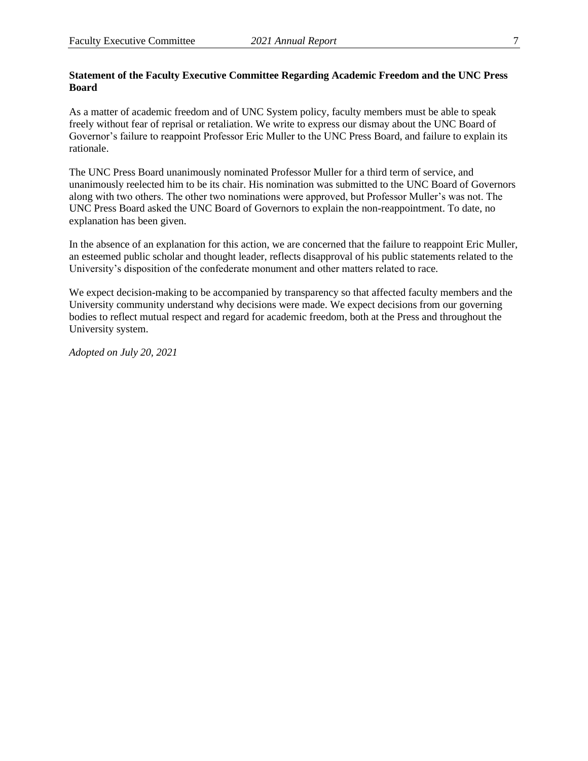### **Statement of the Faculty Executive Committee Regarding Academic Freedom and the UNC Press Board**

As a matter of academic freedom and of UNC System policy, faculty members must be able to speak freely without fear of reprisal or retaliation. We write to express our dismay about the UNC Board of Governor's failure to reappoint Professor Eric Muller to the UNC Press Board, and failure to explain its rationale.

The UNC Press Board unanimously nominated Professor Muller for a third term of service, and unanimously reelected him to be its chair. His nomination was submitted to the UNC Board of Governors along with two others. The other two nominations were approved, but Professor Muller's was not. The UNC Press Board asked the UNC Board of Governors to explain the non-reappointment. To date, no explanation has been given.

In the absence of an explanation for this action, we are concerned that the failure to reappoint Eric Muller, an esteemed public scholar and thought leader, reflects disapproval of his public statements related to the University's disposition of the confederate monument and other matters related to race.

We expect decision-making to be accompanied by transparency so that affected faculty members and the University community understand why decisions were made. We expect decisions from our governing bodies to reflect mutual respect and regard for academic freedom, both at the Press and throughout the University system.

*Adopted on July 20, 2021*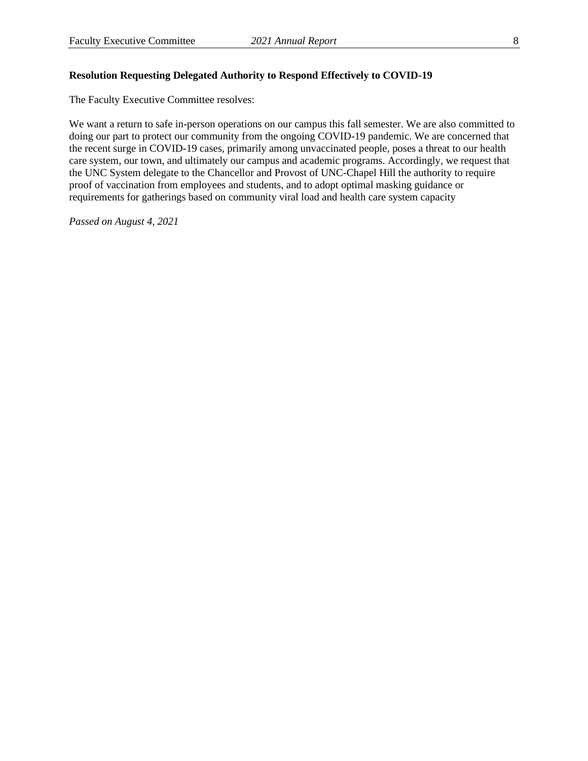### **Resolution Requesting Delegated Authority to Respond Effectively to COVID-19**

The Faculty Executive Committee resolves:

We want a return to safe in-person operations on our campus this fall semester. We are also committed to doing our part to protect our community from the ongoing COVID-19 pandemic. We are concerned that the recent surge in COVID-19 cases, primarily among unvaccinated people, poses a threat to our health care system, our town, and ultimately our campus and academic programs. Accordingly, we request that the UNC System delegate to the Chancellor and Provost of UNC-Chapel Hill the authority to require proof of vaccination from employees and students, and to adopt optimal masking guidance or requirements for gatherings based on community viral load and health care system capacity

*Passed on August 4, 2021*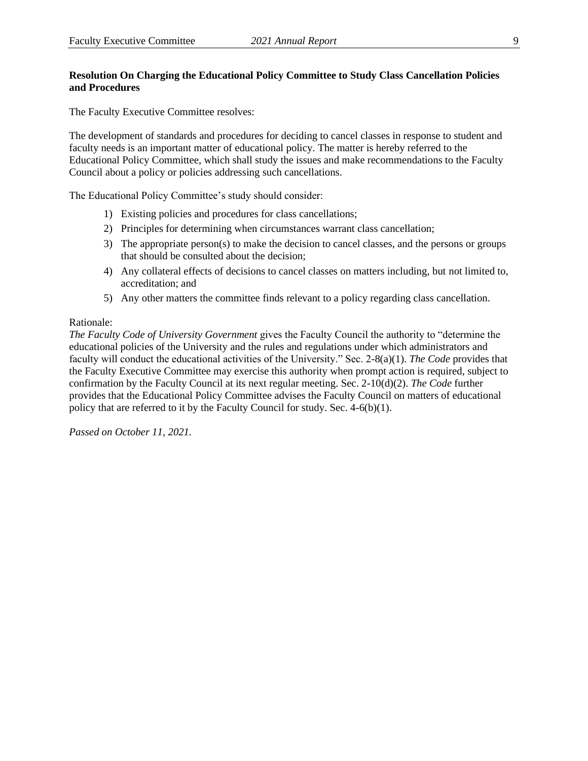## **Resolution On Charging the Educational Policy Committee to Study Class Cancellation Policies and Procedures**

The Faculty Executive Committee resolves:

The development of standards and procedures for deciding to cancel classes in response to student and faculty needs is an important matter of educational policy. The matter is hereby referred to the Educational Policy Committee, which shall study the issues and make recommendations to the Faculty Council about a policy or policies addressing such cancellations.

The Educational Policy Committee's study should consider:

- 1) Existing policies and procedures for class cancellations;
- 2) Principles for determining when circumstances warrant class cancellation;
- 3) The appropriate person(s) to make the decision to cancel classes, and the persons or groups that should be consulted about the decision;
- 4) Any collateral effects of decisions to cancel classes on matters including, but not limited to, accreditation; and
- 5) Any other matters the committee finds relevant to a policy regarding class cancellation.

#### Rationale:

*The Faculty Code of University Government* gives the Faculty Council the authority to "determine the educational policies of the University and the rules and regulations under which administrators and faculty will conduct the educational activities of the University." Sec. 2-8(a)(1). *The Code* provides that the Faculty Executive Committee may exercise this authority when prompt action is required, subject to confirmation by the Faculty Council at its next regular meeting. Sec. 2-10(d)(2). *The Code* further provides that the Educational Policy Committee advises the Faculty Council on matters of educational policy that are referred to it by the Faculty Council for study. Sec. 4-6(b)(1).

*Passed on October 11, 2021.*